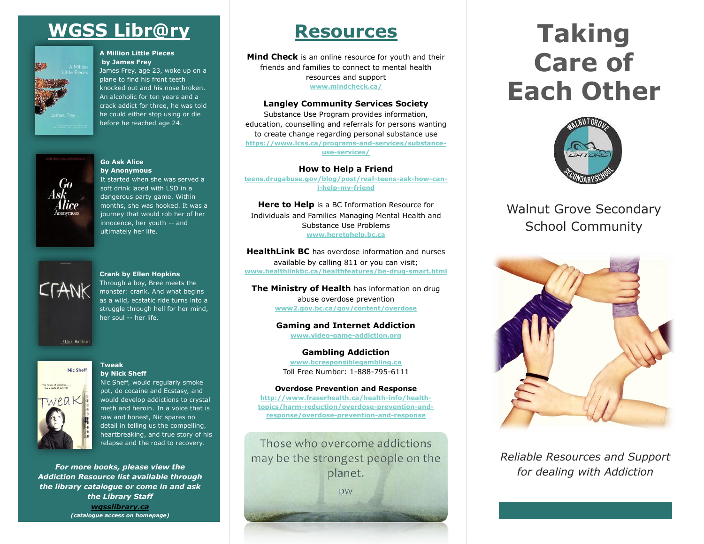# **WGSS Libr@ry**



#### **A Million Little Pieces by James Frey**

James Frey, age 23, woke up on a plane to find his front teeth knocked out and his nose broken. An alcoholic for ten years and a crack addict for three, he was told he could either stop using or die before he reached age 24.



#### **Go Ask Alice by Anonymous**

It started when she was served a soft drink laced with LSD in a dangerous party game. Within months, she was hooked. It was a journey that would rob her of her innocence, her youth -- and ultimately her life.



#### **Crank by Ellen Hopkins**

Through a boy, Bree meets the monster: crank. And what begins as a wild, ecstatic ride turns into a struggle through hell for her mind, her soul -- her life.



#### **Tweak by Nick Sheff**

Nic Sheff, would regularly smoke pot, do cocaine and Ecstasy, and would develop addictions to crystal meth and heroin. In a voice that is raw and honest, Nic spares no detail in telling us the compelling, heartbreaking, and true story of his relapse and the road to recovery.

*For more books, please view the Addiction Resource list available through the library catalogue or come in and ask the Library Staff wgsslibrary.ca (catalogue access on homepage)*

# **Resources**

**Mind Check** is an online resource for youth and their friends and families to connect to mental health resources and support **[www.mindcheck.ca/](http://www.mindcheck.ca/)**

### **Langley Community Services Society**

Substance Use Program provides information, education, counselling and referrals for persons wanting to create change regarding personal substance use **[https://www.lcss.ca/programs-and-services/substance](https://www.lcss.ca/programs-and-services/substance-use-services/)[use-services/](https://www.lcss.ca/programs-and-services/substance-use-services/)**

**How to Help a Friend** 

**[teens.drugabuse.gov/blog/post/real-teens-ask-how-can](https://teens.drugabuse.gov/blog/post/real-teens-ask-how-can-i-help-my-friend)[i-help-my-friend](https://teens.drugabuse.gov/blog/post/real-teens-ask-how-can-i-help-my-friend)**

**Here to Help** is a BC Information Resource for Individuals and Families Managing Mental Health and Substance Use Problems **[www.heretohelp.bc.ca](http://www.heretohelp.bc.ca/)**

**HealthLink BC** has overdose information and nurses available by calling 811 or you can visit; **[www.healthlinkbc.ca/healthfeatures/be-drug-smart.html](http://www.healthlinkbc.ca/healthfeatures/be-drug-smart.html)**

[www2.gov.bc.ca/gov/content/overdose](http://www2.gov.bc.ca/gov/content/overdose) **The Ministry of Health** has information on drug abuse overdose prevention

> **Gaming and Internet Addiction [www.video-game-addiction.org](http://www.video-game-addiction.org/)**

**Gambling Addiction [www.bcresponsiblegambling.ca](http://www.bcresponsiblegambling.ca/)** Toll Free Number: 1-888-795-6111

#### **Overdose Prevention and Response**

**[http://www.fraserhealth.ca/health-info/health](http://www.fraserhealth.ca/health-info/health-topics/harm-reduction/overdose-prevention-and-response/overdose-prevention-and-response)[topics/harm-reduction/overdose-prevention-and](http://www.fraserhealth.ca/health-info/health-topics/harm-reduction/overdose-prevention-and-response/overdose-prevention-and-response)[response/overdose-prevention-and-response](http://www.fraserhealth.ca/health-info/health-topics/harm-reduction/overdose-prevention-and-response/overdose-prevention-and-response)**

Those who overcome addictions may be the strongest people on the planet. **DW** 

# **Taking Care of Each Other**



## Walnut Grove Secondary School Community



*Reliable Resources and Support for dealing with Addiction*